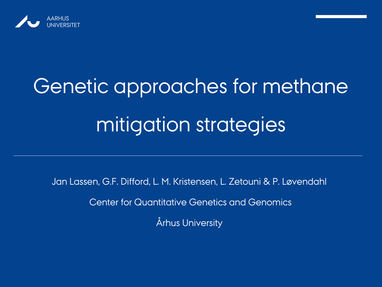

# Genetic approaches for methane mitigation strategies

Jan Lassen, G.F. Difford, L. M. Kristensen, L. Zetouni & P. Løvendahl

Center for Quantitative Genetics and Genomics

Århus University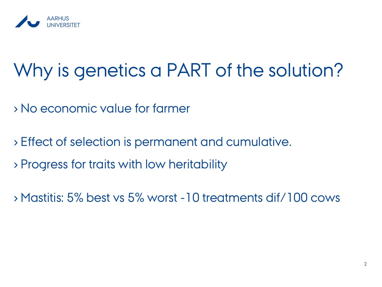

## Why is genetics a PART of the solution?

- › No economic value for farmer
- › Effect of selection is permanent and cumulative.
- › Progress for traits with low heritability
- › Mastitis: 5% best vs 5% worst -10 treatments dif/100 cows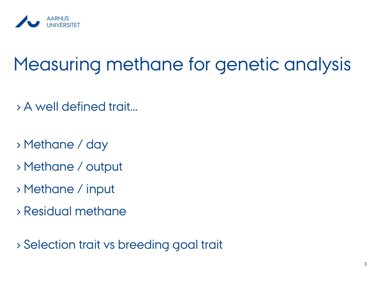

## Measuring methane for genetic analysis

- › A well defined trait…
- › Methane / day
- › Methane / output
- › Methane / input
- › Residual methane

› Selection trait vs breeding goal trait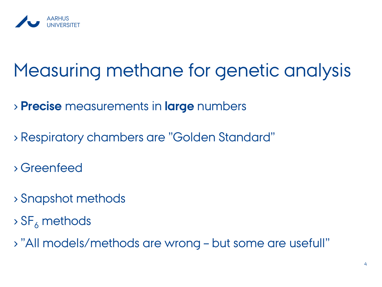

## Measuring methane for genetic analysis

› **Precise** measurements in **large** numbers

- › Respiratory chambers are "Golden Standard"
- › Greenfeed
- › Snapshot methods
- $\rightarrow$  SF<sub>6</sub> methods
- › "All models/methods are wrong but some are usefull"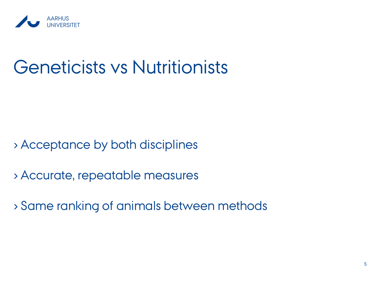

### Geneticists vs Nutritionists

› Acceptance by both disciplines

› Accurate, repeatable measures

› Same ranking of animals between methods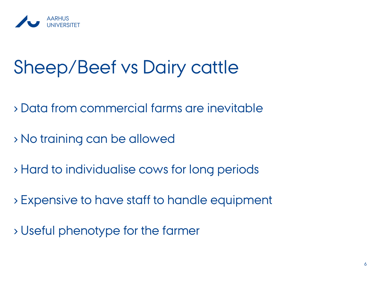

## Sheep/Beef vs Dairy cattle

- › Data from commercial farms are inevitable
- › No training can be allowed
- › Hard to individualise cows for long periods
- › Expensive to have staff to handle equipment
- › Useful phenotype for the farmer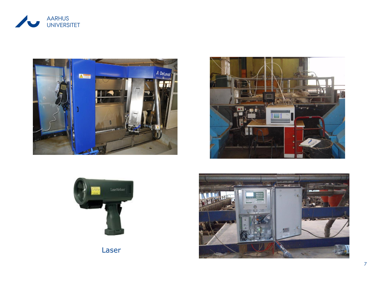







Laser

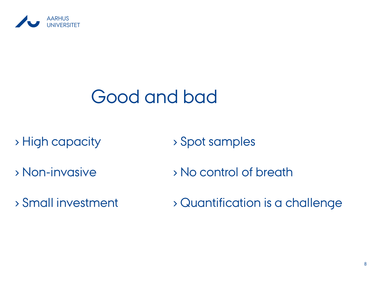

## Good and bad

› High capacity

› Spot samples

- › Non-invasive
- › Small investment
- › No control of breath
- › Quantification is a challenge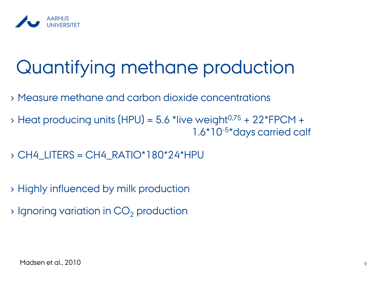

## Quantifying methane production

- › Measure methane and carbon dioxide concentrations
- $\rightarrow$  Heat producing units (HPU) = 5.6 \*live weight<sup>0,75</sup> + 22 \*FPCM + 1.6\*10-5 \*days carried calf
- $\rightarrow$  CH4\_LITERS = CH4\_RATIO\*180\*24\*HPU
- › Highly influenced by milk production
- $\rightarrow$  Ignoring variation in CO<sub>2</sub> production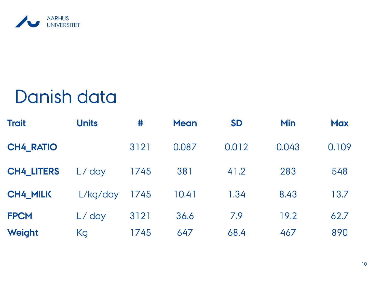

#### Danish data

| <b>Trait</b>      | <b>Units</b> | #    | <b>Mean</b> | <b>SD</b> | <b>Min</b> | <b>Max</b> |
|-------------------|--------------|------|-------------|-----------|------------|------------|
| <b>CH4_RATIO</b>  |              | 3121 | 0.087       | 0.012     | 0.043      | 0.109      |
| <b>CH4_LITERS</b> | L/day        | 1745 | 381         | 41.2      | 283        | 548        |
| <b>CH4_MILK</b>   | L/kg/day     | 1745 | 10.41       | 1.34      | 8.43       | 13.7       |
| <b>FPCM</b>       | L/day        | 3121 | 36.6        | 7.9       | 19.2       | 62.7       |
| Weight            | Kg           | 1745 | 647         | 68.4      | 467        | 890        |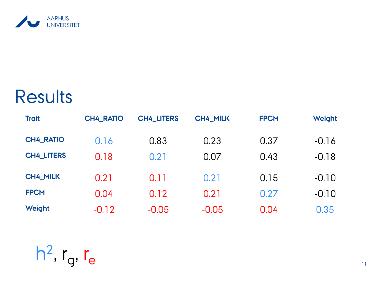

#### **Results**

| <b>Trait</b>      | <b>CH4 RATIO</b> | <b>CH4 LITERS</b> | <b>CH4_MILK</b> | <b>FPCM</b> | Weight  |
|-------------------|------------------|-------------------|-----------------|-------------|---------|
| <b>CH4_RATIO</b>  | 0.16             | 0.83              | 0.23            | 0.37        | $-0.16$ |
| <b>CH4 LITERS</b> | 0.18             | 0.21              | 0.07            | 0.43        | $-0.18$ |
| <b>CH4_MILK</b>   | 0.21             | 0.11              | 0.21            | 0.15        | $-0.10$ |
| <b>FPCM</b>       | 0.04             | 0.12              | 0.21            | 0.27        | $-0.10$ |
| Weight            | $-0.12$          | $-0.05$           | $-0.05$         | 0.04        | 0.35    |

 $h^2$ ,  $r_g$ ,  $r_e$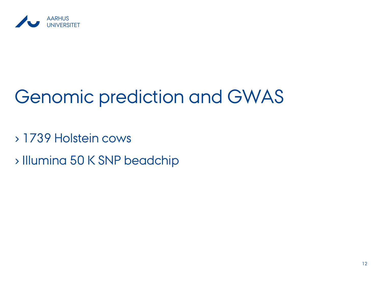

## Genomic prediction and GWAS

› 1739 Holstein cows

› Illumina 50 K SNP beadchip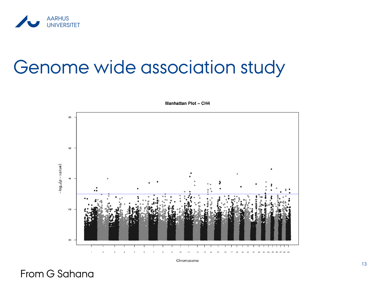

#### Genome wide association study





Chromosome

From G Sahana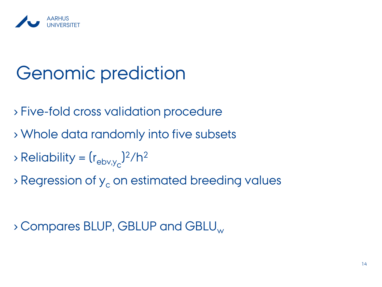

## Genomic prediction

- › Five-fold cross validation procedure
- › Whole data randomly into five subsets
- $\Rightarrow$  Reliability =  $(r_{\text{ebv,y}})^2/h^2$
- $\rightarrow$  Regression of  $y_c$  on estimated breeding values

> Compares BLUP, GBLUP and GBLU<sub>w</sub>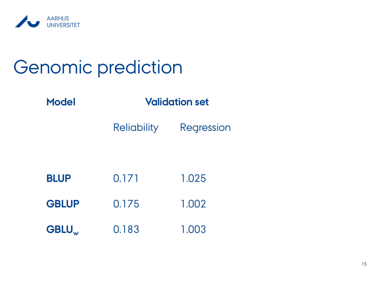

## Genomic prediction

**Model Validation set**

Reliability Regression

| <b>BLUP</b>             | 0.171 | 1.025 |
|-------------------------|-------|-------|
| <b>GBLUP</b>            | 0.175 | 1.002 |
| <b>GBLU<sub>w</sub></b> | 0.183 | 1.003 |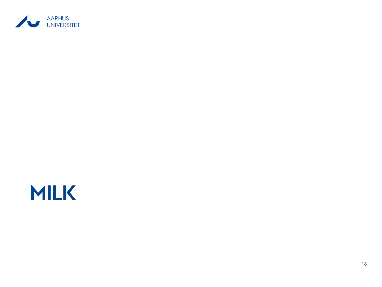

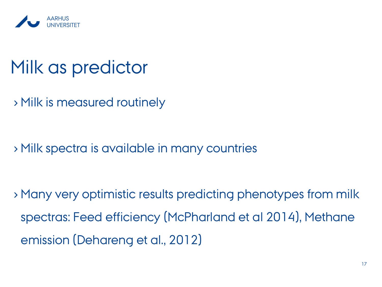

#### Milk as predictor

› Milk is measured routinely

› Milk spectra is available in many countries

› Many very optimistic results predicting phenotypes from milk spectras: Feed efficiency (McPharland et al 2014), Methane emission (Dehareng et al., 2012)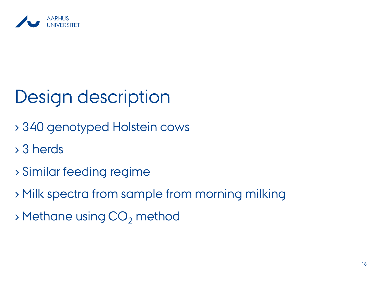

## Design description

- › 340 genotyped Holstein cows
- › 3 herds
- › Similar feeding regime
- › Milk spectra from sample from morning milking
- $\rightarrow$  Methane using  $CO<sub>2</sub>$  method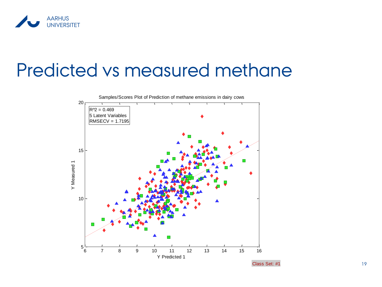

#### Predicted vs measured methane

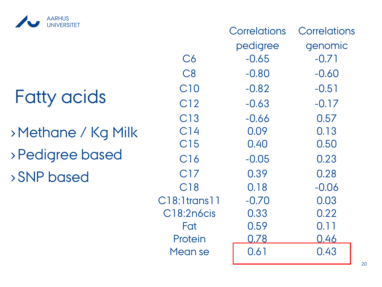

## Fatty acids

›Methane / Kg Milk › Pedigree based › SNP based

|                    | Correlations | Correlations |
|--------------------|--------------|--------------|
|                    | pedigree     | genomic      |
| C6                 | $-0.65$      | $-0.71$      |
| C8                 | $-0.80$      | $-0.60$      |
| C <sub>10</sub>    | $-0.82$      | $-0.51$      |
| C12                | $-0.63$      | $-0.17$      |
| C13                | -0.66        | 0.57         |
| C <sub>14</sub>    | 0.09         | 0.13         |
| C15                | 0.40         | 0.50         |
| C16                | $-0.05$      | 0.23         |
| C17                | 0.39         | 0.28         |
| C18                | 0.18         | $-0.06$      |
| $C18:1$ trans $11$ | $-0.70$      | 0.03         |
| C18:2n6cis         | 0.33         | 0.22         |
| Fat                | 0.59         | 0.11         |
| Protein            | 0.78         | <u>0.46</u>  |
| Mean se            | 0.61         | 0.43         |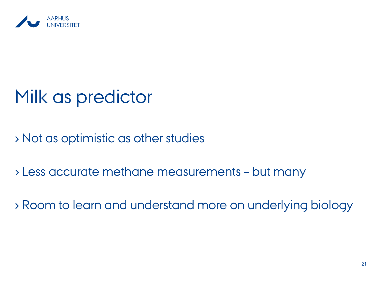

## Milk as predictor

› Not as optimistic as other studies

› Less accurate methane measurements – but many

› Room to learn and understand more on underlying biology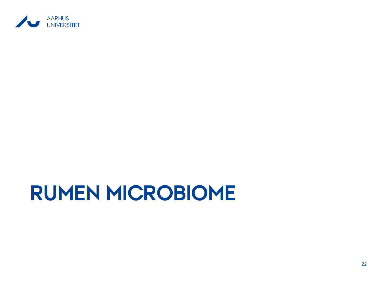

## **RUMEN MICROBIOME**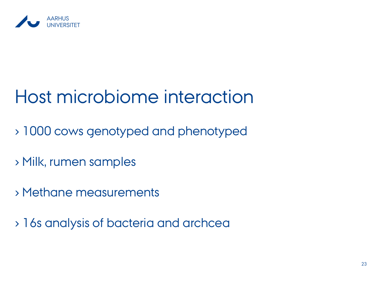

## Host microbiome interaction

- › 1000 cows genotyped and phenotyped
- › Milk, rumen samples
- › Methane measurements
- › 16s analysis of bacteria and archcea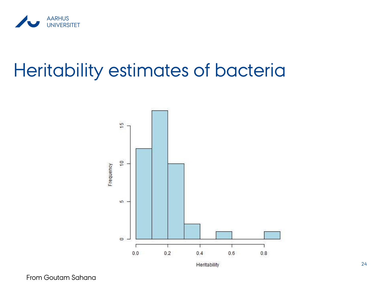

### Heritability estimates of bacteria



From Goutam Sahana

24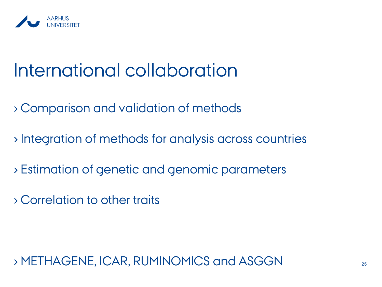

## International collaboration

- › Comparison and validation of methods
- › Integration of methods for analysis across countries
- › Estimation of genetic and genomic parameters
- › Correlation to other traits

› METHAGENE, ICAR, RUMINOMICS and ASGGN <sup>25</sup>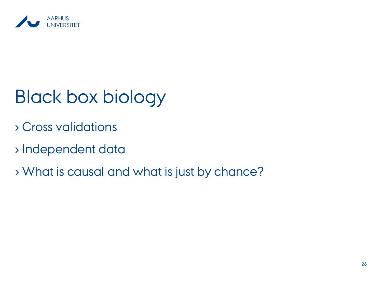

## Black box biology

- › Cross validations
- › Independent data
- › What is causal and what is just by chance?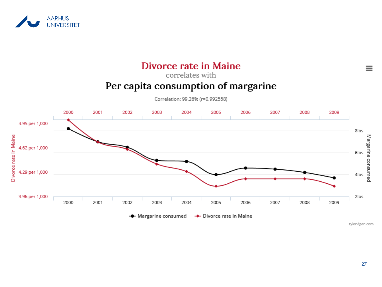



27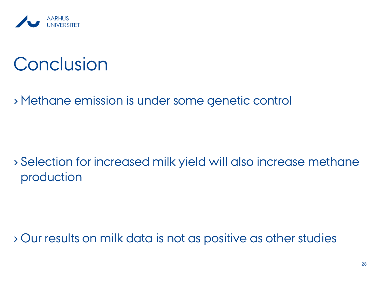

### **Conclusion**

› Methane emission is under some genetic control

› Selection for increased milk yield will also increase methane production

› Our results on milk data is not as positive as other studies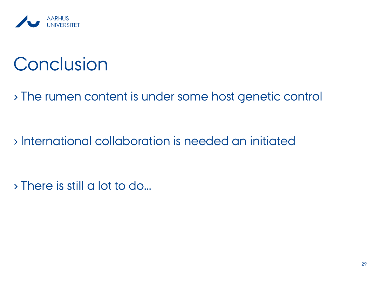

## **Conclusion**

› The rumen content is under some host genetic control

› International collaboration is needed an initiated

› There is still a lot to do…